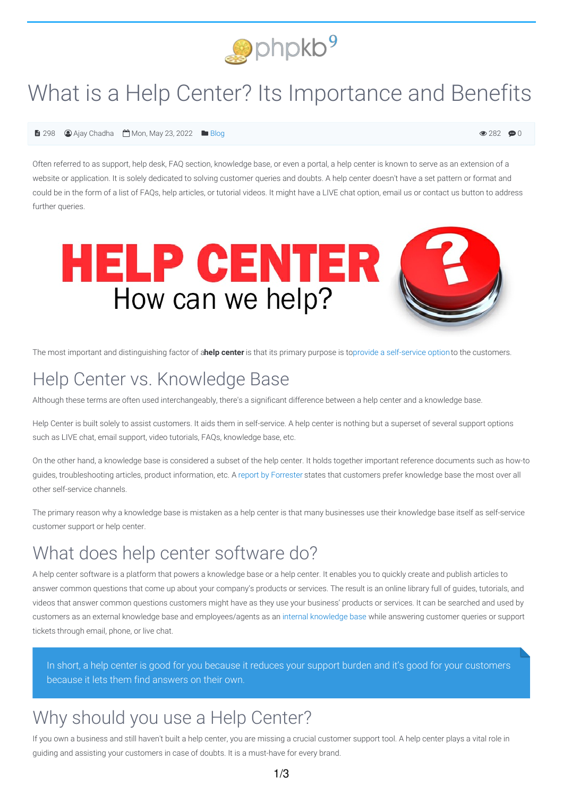

# What is a Help Center? Its Importance and Benefits

 $\odot$  282  $\odot$  0

#### $\bigoplus$  298  $\bigoplus$  Ajay Chadha  $\bigoplus$  Mon, May 23, 2022  $\bigoplus$  [Blog](https://www.phpkb.com/kb/category/knowledge-management/blog/40/)

Often referred to as support, help desk, FAQ section, knowledge base, or even a portal, a help center is known to serve as an extension of a website or application. It is solely dedicated to solving customer queries and doubts. A help center doesn't have a set pattern or format and could be in the form of a list of FAQs, help articles, or tutorial videos. It might have a LIVE chat option, email us or contact us button to address further queries.



The most important and distinguishing factor of a**help center** is that its primary purpose is toprovide a [self-service](https://www.phpkb.com/self-service-portal) optionto the customers.

## Help Center vs. Knowledge Base

Although these terms are often used interchangeably, there's a significant difference between a help center and a knowledge base.

Help Center is built solely to assist customers. It aids them in self-service. A help center is nothing but a superset of several support options such as LIVE chat, email support, video tutorials, FAQs, knowledge base, etc.

On the other hand, a knowledge base is considered a subset of the help center. It holds together important reference documents such as how-to guides, troubleshooting articles, product information, etc. A report by [Forrester](https://www.forrester.com/report/2018-Customer-Service-Trends-How-Operations-Become-Faster-Cheaper-And-Yet-More-Human/RES142291) states that customers prefer knowledge base the most over all other self-service channels.

The primary reason why a knowledge base is mistaken as a help center is that many businesses use their knowledge base itself as self-service customer support or help center.

## What does help center software do?

A help center software is a platform that powers a knowledge base or a help center. It enables you to quickly create and publish articles to answer common questions that come up about your company's products or services. The result is an online library full of guides, tutorials, and videos that answer common questions customers might have as they use your business' products or services. It can be searched and used by customers as an external knowledge base and employees/agents as an internal [knowledge](https://www.phpkb.com/internal-knowledge-base) base while answering customer queries or support tickets through email, phone, or live chat.

In short, a help center is good for you because it reduces your support burden and it's good for your customers because it lets them find answers on their own.

## Why should you use a Help Center?

If you own a business and still haven't built a help center, you are missing a crucial customer support tool. A help center plays a vital role in guiding and assisting your customers in case of doubts. It is a must-have for every brand.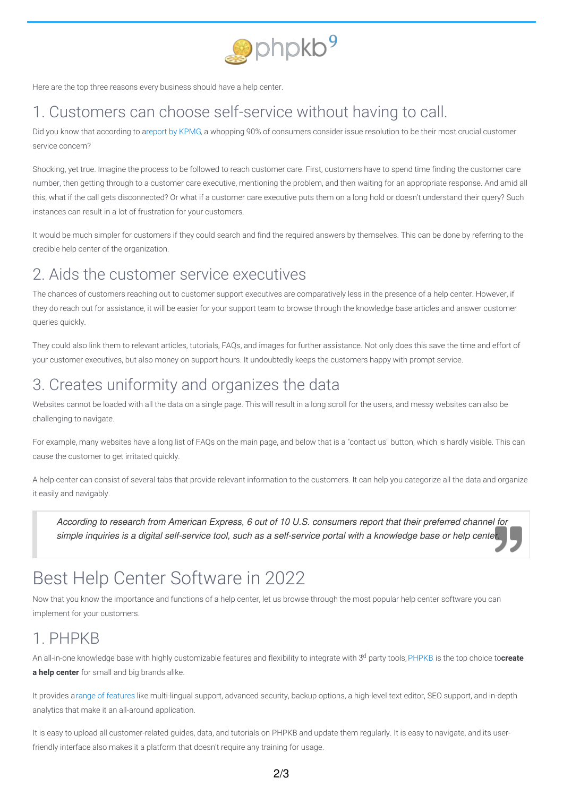

Here are the top three reasons every business should have a help center.

## 1. Customers can choose self-service without having to call.

Did you know that according to areport by [KPMG](https://home.kpmg/xx/en/home/insights/2020/01/customer-first-insights-home.html), a whopping 90% of consumers consider issue resolution to be their most crucial customer service concern?

Shocking, yet true. Imagine the process to be followed to reach customer care. First, customers have to spend time finding the customer care number, then getting through to a customer care executive, mentioning the problem, and then waiting for an appropriate response. And amid all this, what if the call gets disconnected? Or what if a customer care executive puts them on a long hold or doesn't understand their query? Such instances can result in a lot of frustration for your customers.

It would be much simpler for customers if they could search and find the required answers by themselves. This can be done by referring to the credible help center of the organization.

#### 2. Aids the customer service executives

The chances of customers reaching out to customer support executives are comparatively less in the presence of a help center. However, if they do reach out for assistance, it will be easier for your support team to browse through the knowledge base articles and answer customer queries quickly.

They could also link them to relevant articles, tutorials, FAQs, and images for further assistance. Not only does this save the time and effort of your customer executives, but also money on support hours. It undoubtedly keeps the customers happy with prompt service.

## 3. Creates uniformity and organizes the data

Websites cannot be loaded with all the data on a single page. This will result in a long scroll for the users, and messy websites can also be challenging to navigate.

For example, many websites have a long list of FAQs on the main page, and below that is a "contact us" button, which is hardly visible. This can cause the customer to get irritated quickly.

A help center can consist of several tabs that provide relevant information to the customers. It can help you categorize all the data and organize it easily and navigably.

According to research from American Express, 6 out of 10 U.S. consumers report that their preferred channel for simple inquiries is a digital self-service tool, such as a self-service portal with a knowledge base or help centel

## Best Help Center Software in 2022

Now that you know the importance and functions of a help center, let us browse through the most popular help center software you can implement for your customers.

#### 1. PHPKB

An all-in-one knowledge base with highly customizable features and flexibility to integrate with 3<sup>d</sup> party tools, [PHPKB](https://www.phpkb.com/) is the top choice to**create a help center** for small and big brands alike.

It provides arange of [features](https://www.phpkb.com/features-list) like multi-lingual support, advanced security, backup options, a high-level text editor, SEO support, and in-depth analytics that make it an all-around application.

It is easy to upload all customer-related quides, data, and tutorials on PHPKB and update them regularly. It is easy to navigate, and its userfriendly interface also makes it a platform that doesn't require any training for usage.